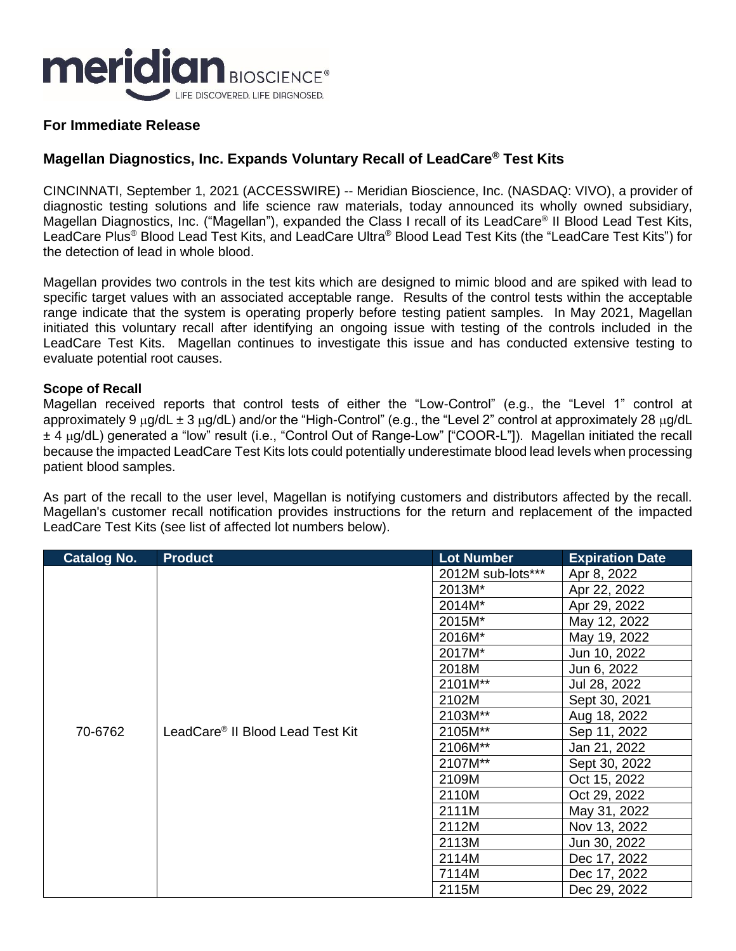

## **For Immediate Release**

# **Magellan Diagnostics, Inc. Expands Voluntary Recall of LeadCare® Test Kits**

CINCINNATI, September 1, 2021 (ACCESSWIRE) -- Meridian Bioscience, Inc. (NASDAQ: VIVO), a provider of diagnostic testing solutions and life science raw materials, today announced its wholly owned subsidiary, Magellan Diagnostics, Inc. ("Magellan"), expanded the Class I recall of its LeadCare® II Blood Lead Test Kits, LeadCare Plus® Blood Lead Test Kits, and LeadCare Ultra® Blood Lead Test Kits (the "LeadCare Test Kits") for the detection of lead in whole blood.

Magellan provides two controls in the test kits which are designed to mimic blood and are spiked with lead to specific target values with an associated acceptable range. Results of the control tests within the acceptable range indicate that the system is operating properly before testing patient samples. In May 2021, Magellan initiated this voluntary recall after identifying an ongoing issue with testing of the controls included in the LeadCare Test Kits. Magellan continues to investigate this issue and has conducted extensive testing to evaluate potential root causes.

#### **Scope of Recall**

Magellan received reports that control tests of either the "Low-Control" (e.g., the "Level 1" control at approximately 9  $\mu$ g/dL  $\pm$  3  $\mu$ g/dL) and/or the "High-Control" (e.g., the "Level 2" control at approximately 28  $\mu$ g/dL ± 4 μg/dL) generated a "low" result (i.e., "Control Out of Range-Low" ["COOR-L"]). Magellan initiated the recall because the impacted LeadCare Test Kits lots could potentially underestimate blood lead levels when processing patient blood samples.

As part of the recall to the user level, Magellan is notifying customers and distributors affected by the recall. Magellan's customer recall notification provides instructions for the return and replacement of the impacted LeadCare Test Kits (see list of affected lot numbers below).

| <b>Catalog No.</b> | <b>Product</b>                               | <b>Lot Number</b> | <b>Expiration Date</b> |
|--------------------|----------------------------------------------|-------------------|------------------------|
| 70-6762            | LeadCare <sup>®</sup> II Blood Lead Test Kit | 2012M sub-lots*** | Apr 8, 2022            |
|                    |                                              | 2013M*            | Apr 22, 2022           |
|                    |                                              | 2014M*            | Apr 29, 2022           |
|                    |                                              | 2015M*            | May 12, 2022           |
|                    |                                              | 2016M*            | May 19, 2022           |
|                    |                                              | 2017M*            | Jun 10, 2022           |
|                    |                                              | 2018M             | Jun 6, 2022            |
|                    |                                              | 2101M**           | Jul 28, 2022           |
|                    |                                              | 2102M             | Sept 30, 2021          |
|                    |                                              | 2103M**           | Aug 18, 2022           |
|                    |                                              | 2105M**           | Sep 11, 2022           |
|                    |                                              | 2106M**           | Jan 21, 2022           |
|                    |                                              | 2107M**           | Sept 30, 2022          |
|                    |                                              | 2109M             | Oct 15, 2022           |
|                    |                                              | 2110M             | Oct 29, 2022           |
|                    |                                              | 2111M             | May 31, 2022           |
|                    |                                              | 2112M             | Nov 13, 2022           |
|                    |                                              | 2113M             | Jun 30, 2022           |
|                    |                                              | 2114M             | Dec 17, 2022           |
|                    |                                              | 7114M             | Dec 17, 2022           |
|                    |                                              | 2115M             | Dec 29, 2022           |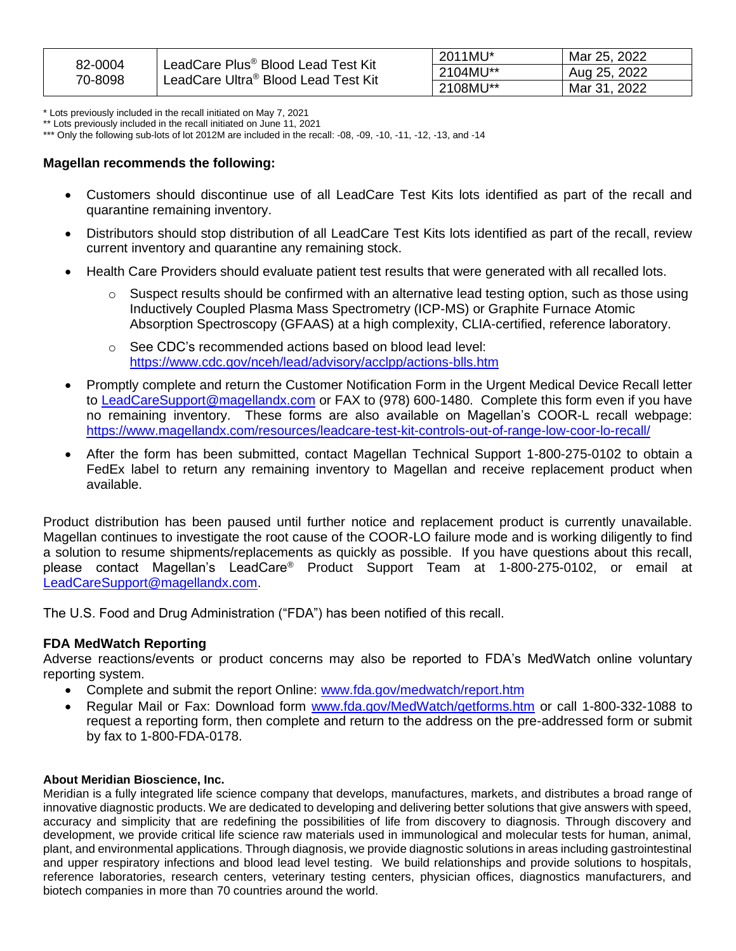| 82-0004<br>70-8098 | LeadCare Plus <sup>®</sup> Blood Lead Test Kit<br>LeadCare Ultra® Blood Lead Test Kit | 2011MU*  | Mar 25, 2022 |
|--------------------|---------------------------------------------------------------------------------------|----------|--------------|
|                    |                                                                                       | 2104MU** | Aug 25, 2022 |
|                    |                                                                                       | 2108MU** | Mar 31, 2022 |

\* Lots previously included in the recall initiated on May 7, 2021

\*\* Lots previously included in the recall initiated on June 11, 2021

\*\*\* Only the following sub-lots of lot 2012M are included in the recall: -08, -09, -10, -11, -12, -13, and -14

#### **Magellan recommends the following:**

- Customers should discontinue use of all LeadCare Test Kits lots identified as part of the recall and quarantine remaining inventory.
- Distributors should stop distribution of all LeadCare Test Kits lots identified as part of the recall, review current inventory and quarantine any remaining stock.
- Health Care Providers should evaluate patient test results that were generated with all recalled lots.
	- $\circ$  Suspect results should be confirmed with an alternative lead testing option, such as those using Inductively Coupled Plasma Mass Spectrometry (ICP-MS) or Graphite Furnace Atomic Absorption Spectroscopy (GFAAS) at a high complexity, CLIA-certified, reference laboratory.
	- o See CDC's recommended actions based on blood lead level: <https://www.cdc.gov/nceh/lead/advisory/acclpp/actions-blls.htm>
- Promptly complete and return the Customer Notification Form in the Urgent Medical Device Recall letter to [LeadCareSupport@magellandx.com](mailto:LeadCareSupport@magellandx.com?subject=LeadCare%20Recall) or FAX to (978) 600-1480. Complete this form even if you have no remaining inventory. These forms are also available on Magellan's COOR-L recall webpage: <https://www.magellandx.com/resources/leadcare-test-kit-controls-out-of-range-low-coor-lo-recall/>
- After the form has been submitted, contact Magellan Technical Support 1-800-275-0102 to obtain a FedEx label to return any remaining inventory to Magellan and receive replacement product when available.

Product distribution has been paused until further notice and replacement product is currently unavailable. Magellan continues to investigate the root cause of the COOR-LO failure mode and is working diligently to find a solution to resume shipments/replacements as quickly as possible. If you have questions about this recall, please contact Magellan's LeadCare® Product Support Team at 1-800-275-0102, or email at [LeadCareSupport@magellandx.com.](mailto:LeadCareSupport@magellandx.com?subject=LeadCare%20Recall)

The U.S. Food and Drug Administration ("FDA") has been notified of this recall.

### **FDA MedWatch Reporting**

Adverse reactions/events or product concerns may also be reported to FDA's MedWatch online voluntary reporting system.

- Complete and submit the report Online: [www.fda.gov/medwatch/report.htm](http://www.fda.gov/medwatch/report.htm)
- Regular Mail or Fax: Download form [www.fda.gov/MedWatch/getforms.htm](http://www.fda.gov/MedWatch/getforms.htm) or call 1-800-332-1088 to request a reporting form, then complete and return to the address on the pre-addressed form or submit by fax to 1-800-FDA-0178.

### **About Meridian Bioscience, Inc.**

Meridian is a fully integrated life science company that develops, manufactures, markets, and distributes a broad range of innovative diagnostic products. We are dedicated to developing and delivering better solutions that give answers with speed, accuracy and simplicity that are redefining the possibilities of life from discovery to diagnosis. Through discovery and development, we provide critical life science raw materials used in immunological and molecular tests for human, animal, plant, and environmental applications. Through diagnosis, we provide diagnostic solutions in areas including gastrointestinal and upper respiratory infections and blood lead level testing. We build relationships and provide solutions to hospitals, reference laboratories, research centers, veterinary testing centers, physician offices, diagnostics manufacturers, and biotech companies in more than 70 countries around the world.